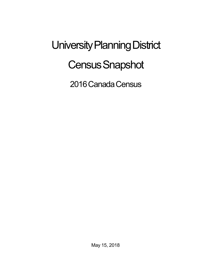University Planning District **Census Snapshot** 

2016 Canada Census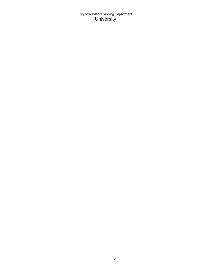City of Windsor Planning Department University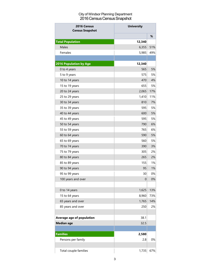## City of Windsor Planning Department 2016 Census Census Snapshot

| <b>University</b><br>2016 Census<br><b>Census Snapshot</b> |             |     |
|------------------------------------------------------------|-------------|-----|
|                                                            |             | %   |
| <b>Total Population</b>                                    | 12,340      |     |
| <b>Males</b>                                               | 6,355       | 51% |
| Females                                                    | 5,985       | 49% |
|                                                            |             |     |
| <b>2016 Population by Age</b>                              | 12,340      |     |
| 0 to 4 years                                               | 565         | 5%  |
| 5 to 9 years                                               | 575         | 5%  |
| 10 to 14 years                                             | 470         | 4%  |
| 15 to 19 years                                             | 655         | 5%  |
| 20 to 24 years                                             | 2,065       | 17% |
| 25 to 29 years                                             | 1,410       | 11% |
| 30 to 34 years                                             | 810         | 7%  |
| 35 to 39 years                                             | 595         | 5%  |
| 40 to 44 years                                             | 600         | 5%  |
| 45 to 49 years                                             | 595         | 5%  |
| 50 to 54 years                                             | 790         | 6%  |
| 55 to 59 years                                             | 765         | 6%  |
| 60 to 64 years                                             | 590         | 5%  |
| 65 to 69 years                                             | 560         | 5%  |
| 70 to 74 years                                             | 390         | 3%  |
| 75 to 79 years                                             | 305         | 2%  |
| 80 to 84 years                                             | 265         | 2%  |
| 85 to 89 years                                             | 155         | 1%  |
| 90 to 94 years                                             | 95          | 1%  |
| 95 to 99 years                                             | 30          | 0%  |
| 100 years and over                                         | $\mathbf 0$ | 0%  |
|                                                            |             |     |
| 0 to 14 years                                              | 1,625       | 13% |
| 15 to 64 years                                             | 8,960       | 73% |
| 65 years and over                                          | 1,765       | 14% |
| 85 years and over                                          | 250         | 2%  |
|                                                            |             |     |
| Average age of population                                  | 38.1        |     |
| <b>Median age</b>                                          | 32.5        |     |
| <b>Families</b>                                            | 2,580       |     |
| Persons per family                                         | 2.8         | 0%  |
| Total couple families                                      | 1,735       | 67% |